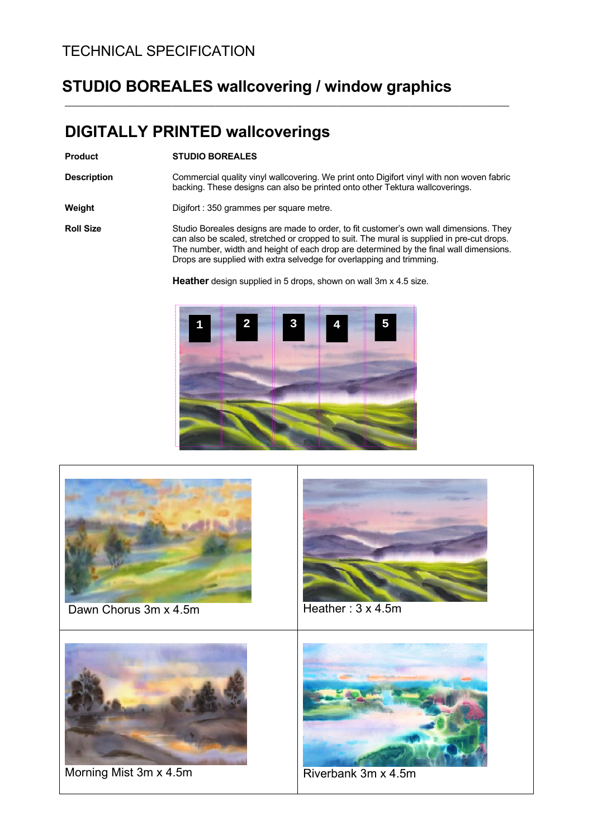#### TECHNICAL SPECIFICATION

### **STUDIO BOREALES wallcovering / window graphics**

#### **DIGITALLY PRINTED wallcoverings**

#### **Product STUDIO BOREALES**

**Description** Commercial quality vinyl wallcovering. We print onto Digifort vinyl with non woven fabric backing. These designs can also be printed onto other Tektura wallcoverings.

\_\_\_\_\_\_\_\_\_\_\_\_\_\_\_\_\_\_\_\_\_\_\_\_\_\_\_\_\_\_\_\_\_\_\_\_\_\_\_\_\_\_\_\_\_\_\_\_\_\_\_\_\_\_\_\_\_\_\_\_\_\_

**Weight** Digifort : 350 grammes per square metre.

**Roll Size** Studio Boreales designs are made to order, to fit customer's own wall dimensions. They can also be scaled, stretched or cropped to suit. The mural is supplied in pre-cut drops. The number, width and height of each drop are determined by the final wall dimensions. Drops are supplied with extra selvedge for overlapping and trimming.

**Heather** design supplied in 5 drops, shown on wall 3m x 4.5 size.



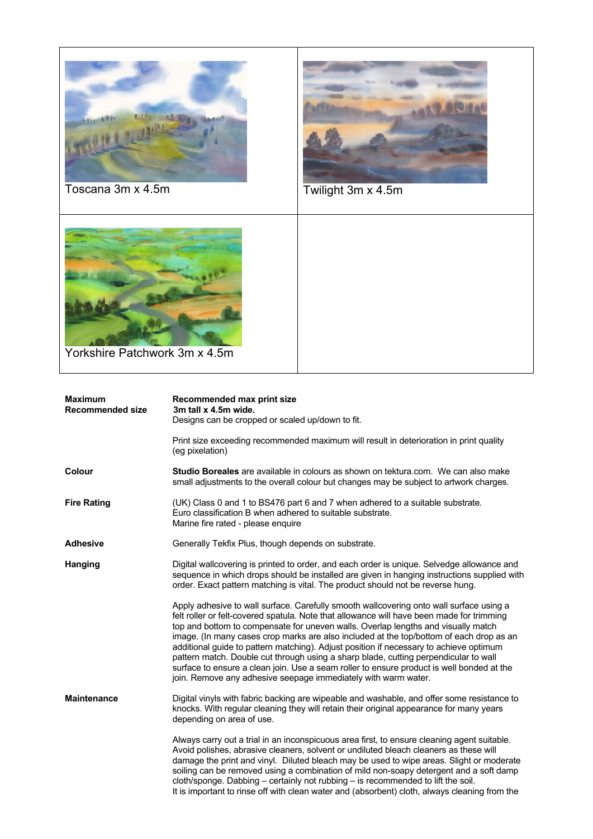

| <b>Maximum</b><br><b>Recommended size</b> | Recommended max print size<br>3m tall x 4.5m wide.<br>Designs can be cropped or scaled up/down to fit.                                                                                                                                                                                                                                                                                                                                                                                                                                                                                                                                                                                                                |
|-------------------------------------------|-----------------------------------------------------------------------------------------------------------------------------------------------------------------------------------------------------------------------------------------------------------------------------------------------------------------------------------------------------------------------------------------------------------------------------------------------------------------------------------------------------------------------------------------------------------------------------------------------------------------------------------------------------------------------------------------------------------------------|
|                                           | Print size exceeding recommended maximum will result in deterioration in print quality<br>(eg pixelation)                                                                                                                                                                                                                                                                                                                                                                                                                                                                                                                                                                                                             |
| Colour                                    | <b>Studio Boreales</b> are available in colours as shown on tektura.com. We can also make<br>small adjustments to the overall colour but changes may be subject to artwork charges.                                                                                                                                                                                                                                                                                                                                                                                                                                                                                                                                   |
| <b>Fire Rating</b>                        | (UK) Class 0 and 1 to BS476 part 6 and 7 when adhered to a suitable substrate.<br>Euro classification B when adhered to suitable substrate.<br>Marine fire rated - please enquire                                                                                                                                                                                                                                                                                                                                                                                                                                                                                                                                     |
| <b>Adhesive</b>                           | Generally Tekfix Plus, though depends on substrate.                                                                                                                                                                                                                                                                                                                                                                                                                                                                                                                                                                                                                                                                   |
| Hanging                                   | Digital wallcovering is printed to order, and each order is unique. Selvedge allowance and<br>sequence in which drops should be installed are given in hanging instructions supplied with<br>order. Exact pattern matching is vital. The product should not be reverse hung.                                                                                                                                                                                                                                                                                                                                                                                                                                          |
|                                           | Apply adhesive to wall surface. Carefully smooth wallcovering onto wall surface using a<br>felt roller or felt-covered spatula. Note that allowance will have been made for trimming<br>top and bottom to compensate for uneven walls. Overlap lengths and visually match<br>image. (In many cases crop marks are also included at the top/bottom of each drop as an<br>additional guide to pattern matching). Adjust position if necessary to achieve optimum<br>pattern match. Double cut through using a sharp blade, cutting perpendicular to wall<br>surface to ensure a clean join. Use a seam roller to ensure product is well bonded at the<br>join. Remove any adhesive seepage immediately with warm water. |
| <b>Maintenance</b>                        | Digital vinyls with fabric backing are wipeable and washable, and offer some resistance to<br>knocks. With regular cleaning they will retain their original appearance for many years<br>depending on area of use.                                                                                                                                                                                                                                                                                                                                                                                                                                                                                                    |
|                                           | Always carry out a trial in an inconspicuous area first, to ensure cleaning agent suitable.<br>Avoid polishes, abrasive cleaners, solvent or undiluted bleach cleaners as these will<br>damage the print and vinyl. Diluted bleach may be used to wipe areas. Slight or moderate<br>soiling can be removed using a combination of mild non-soapy detergent and a soft damp<br>cloth/sponge. Dabbing - certainly not rubbing - is recommended to lift the soil.<br>It is important to rinse off with clean water and (absorbent) cloth, always cleaning from the                                                                                                                                                       |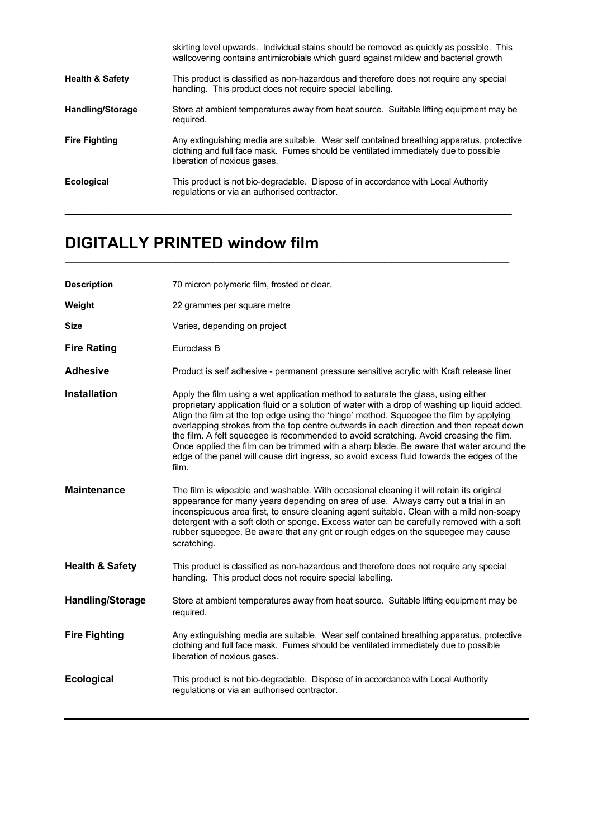|                            | skirting level upwards. Individual stains should be removed as quickly as possible. This<br>wallcovering contains antimicrobials which guard against mildew and bacterial growth                                 |
|----------------------------|------------------------------------------------------------------------------------------------------------------------------------------------------------------------------------------------------------------|
| <b>Health &amp; Safety</b> | This product is classified as non-hazardous and therefore does not require any special<br>handling. This product does not require special labelling.                                                             |
| <b>Handling/Storage</b>    | Store at ambient temperatures away from heat source. Suitable lifting equipment may be<br>required.                                                                                                              |
| <b>Fire Fighting</b>       | Any extinguishing media are suitable. Wear self contained breathing apparatus, protective<br>clothing and full face mask. Fumes should be ventilated immediately due to possible<br>liberation of noxious gases. |
| <b>Ecological</b>          | This product is not bio-degradable. Dispose of in accordance with Local Authority<br>regulations or via an authorised contractor.                                                                                |

\_\_\_\_\_\_\_\_\_\_\_\_\_\_\_\_\_\_\_\_\_\_\_\_\_\_\_\_\_\_\_\_\_\_\_\_\_\_\_\_\_\_\_\_\_\_\_\_\_\_\_\_\_\_\_\_\_\_\_\_\_\_

## **DIGITALLY PRINTED window film**

| <b>Description</b>         | 70 micron polymeric film, frosted or clear.                                                                                                                                                                                                                                                                                                                                                                                                                                                                                                                                                                                                                       |
|----------------------------|-------------------------------------------------------------------------------------------------------------------------------------------------------------------------------------------------------------------------------------------------------------------------------------------------------------------------------------------------------------------------------------------------------------------------------------------------------------------------------------------------------------------------------------------------------------------------------------------------------------------------------------------------------------------|
| Weight                     | 22 grammes per square metre                                                                                                                                                                                                                                                                                                                                                                                                                                                                                                                                                                                                                                       |
| <b>Size</b>                | Varies, depending on project                                                                                                                                                                                                                                                                                                                                                                                                                                                                                                                                                                                                                                      |
| <b>Fire Rating</b>         | Euroclass B                                                                                                                                                                                                                                                                                                                                                                                                                                                                                                                                                                                                                                                       |
| <b>Adhesive</b>            | Product is self adhesive - permanent pressure sensitive acrylic with Kraft release liner                                                                                                                                                                                                                                                                                                                                                                                                                                                                                                                                                                          |
| <b>Installation</b>        | Apply the film using a wet application method to saturate the glass, using either<br>proprietary application fluid or a solution of water with a drop of washing up liquid added.<br>Align the film at the top edge using the 'hinge' method. Squeegee the film by applying<br>overlapping strokes from the top centre outwards in each direction and then repeat down<br>the film. A felt squeegee is recommended to avoid scratching. Avoid creasing the film.<br>Once applied the film can be trimmed with a sharp blade. Be aware that water around the<br>edge of the panel will cause dirt ingress, so avoid excess fluid towards the edges of the<br>film. |
| <b>Maintenance</b>         | The film is wipeable and washable. With occasional cleaning it will retain its original<br>appearance for many years depending on area of use. Always carry out a trial in an<br>inconspicuous area first, to ensure cleaning agent suitable. Clean with a mild non-soapy<br>detergent with a soft cloth or sponge. Excess water can be carefully removed with a soft<br>rubber squeegee. Be aware that any grit or rough edges on the squeegee may cause<br>scratching.                                                                                                                                                                                          |
| <b>Health &amp; Safety</b> | This product is classified as non-hazardous and therefore does not require any special<br>handling. This product does not require special labelling.                                                                                                                                                                                                                                                                                                                                                                                                                                                                                                              |
| <b>Handling/Storage</b>    | Store at ambient temperatures away from heat source. Suitable lifting equipment may be<br>required.                                                                                                                                                                                                                                                                                                                                                                                                                                                                                                                                                               |
| <b>Fire Fighting</b>       | Any extinguishing media are suitable. Wear self contained breathing apparatus, protective<br>clothing and full face mask. Fumes should be ventilated immediately due to possible<br>liberation of noxious gases.                                                                                                                                                                                                                                                                                                                                                                                                                                                  |
| <b>Ecological</b>          | This product is not bio-degradable. Dispose of in accordance with Local Authority<br>regulations or via an authorised contractor.                                                                                                                                                                                                                                                                                                                                                                                                                                                                                                                                 |